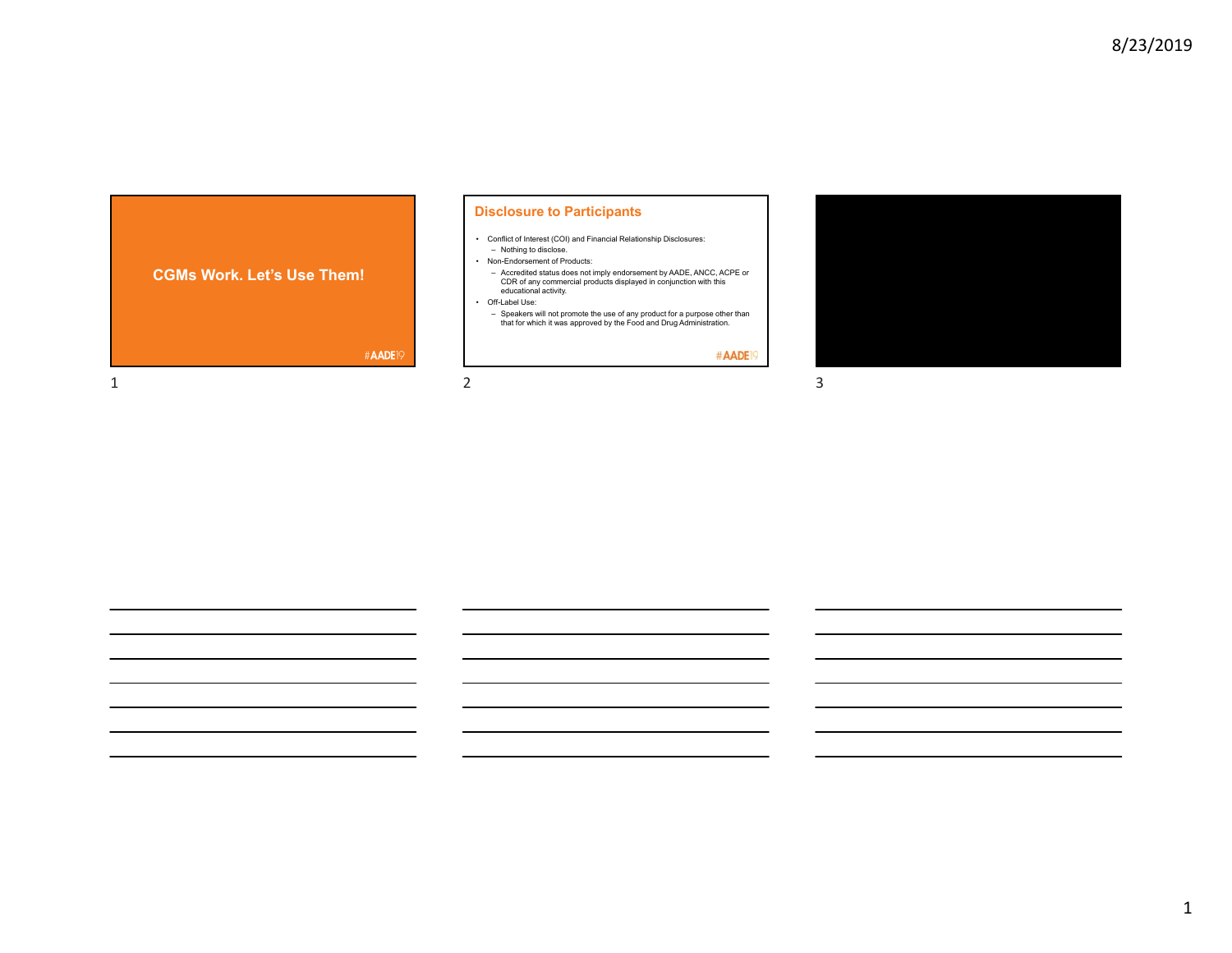

## **Disclosure to Participants**

- Conflict of Interest (COI) and Financial Relationship Disclosures: – Nothing to disclose.
- Non-Endorsement of Products:
- Accredited status does not imply endorsement by AADE, ANCC, ACPE or CDR of any commercial products displayed in conjunction with this educational activity.
- Off-Label Use:
- Speakers will not promote the use of any product for a purpose other than that for which it was approved by the Food and Drug Administration.

#AADE<sup>19</sup>

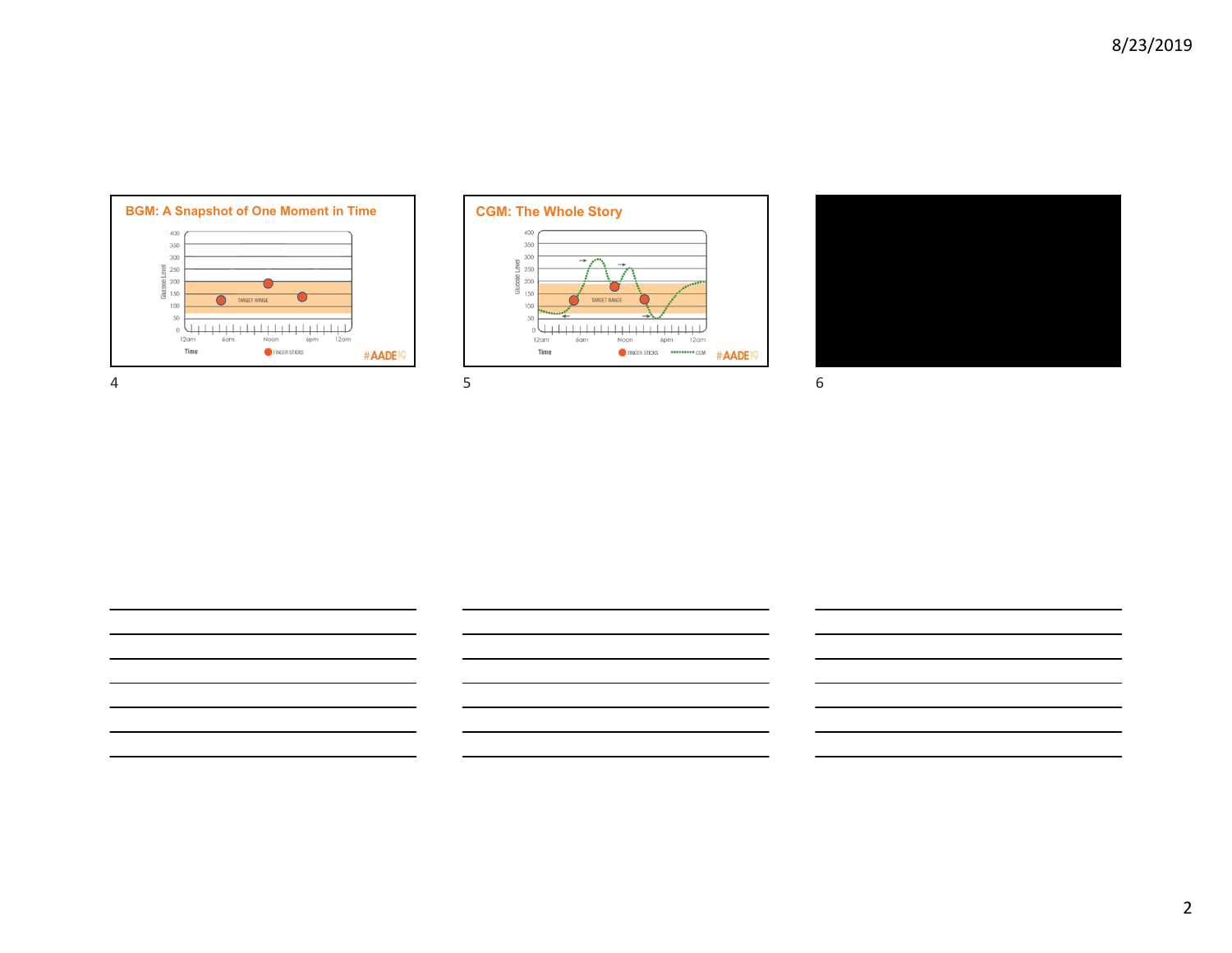





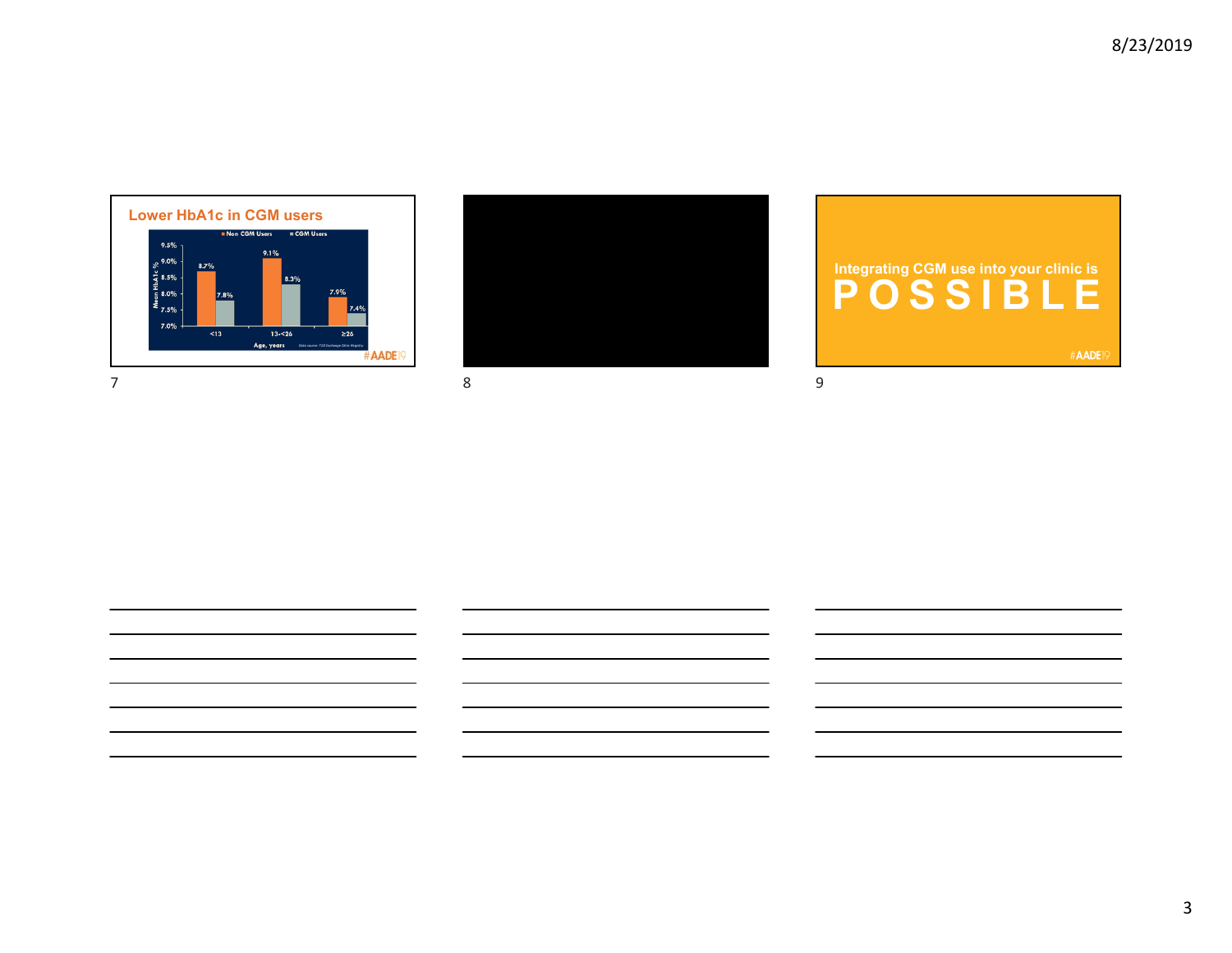



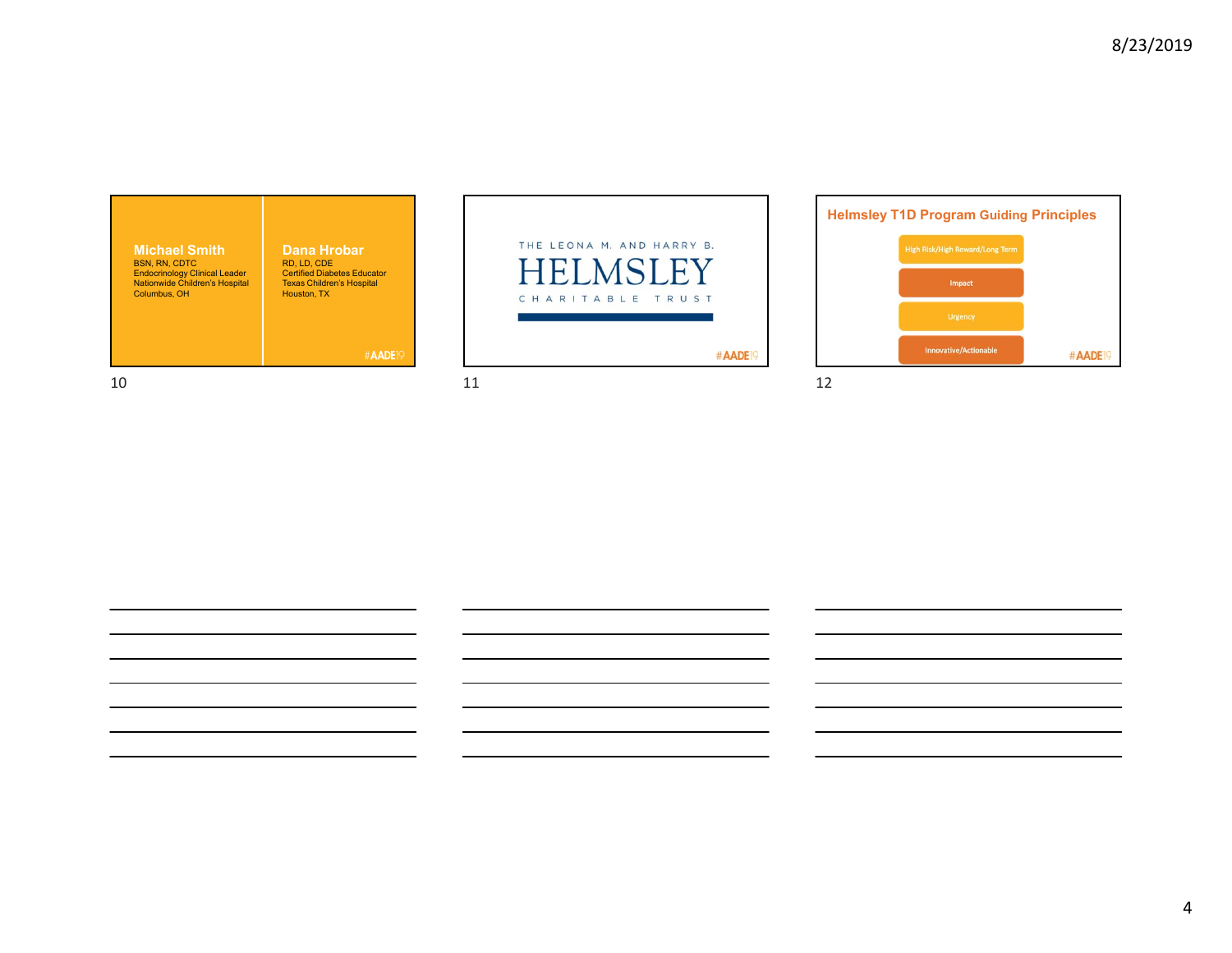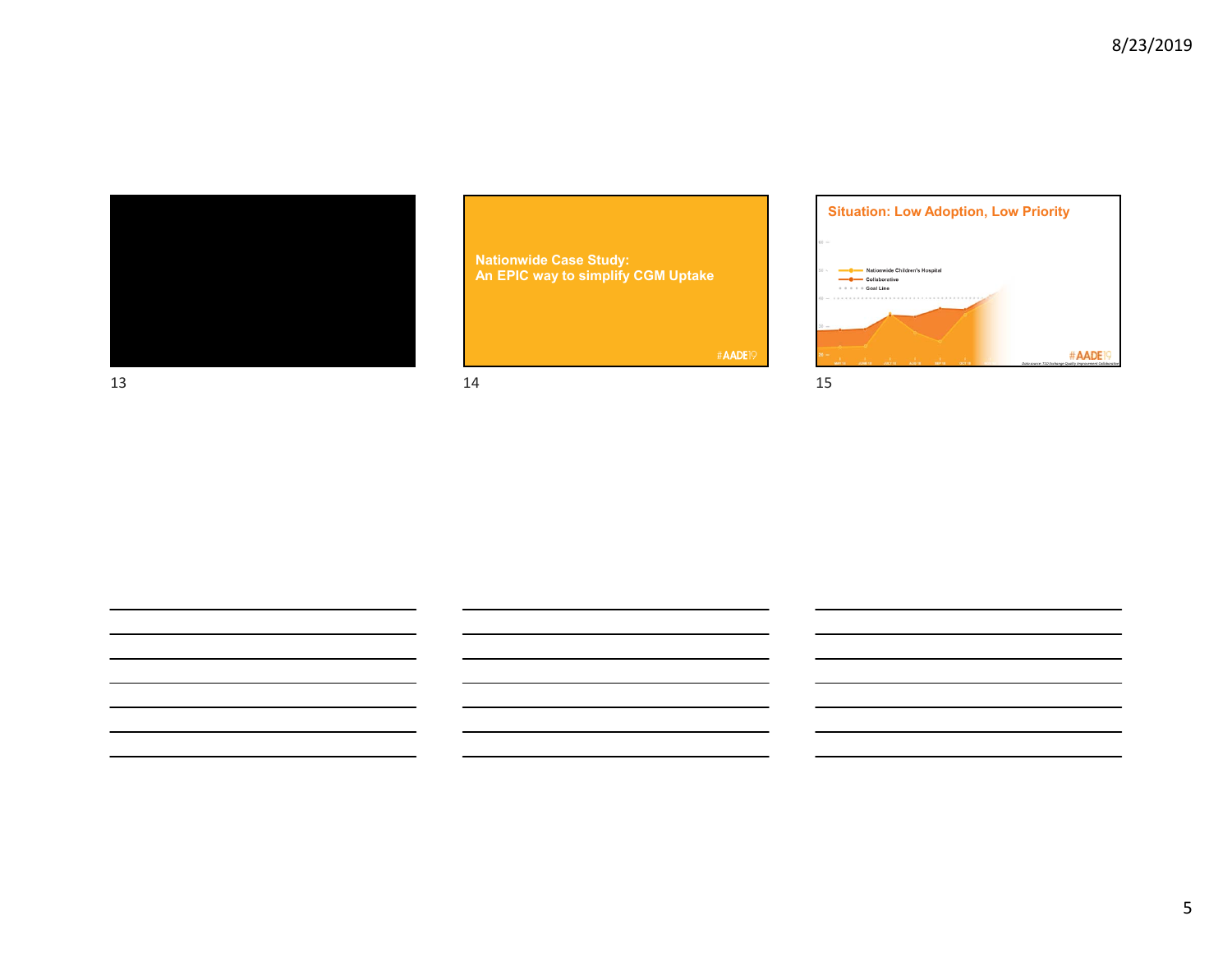

**Nationwide Case Study: An EPIC way to simplify CGM Uptake** 

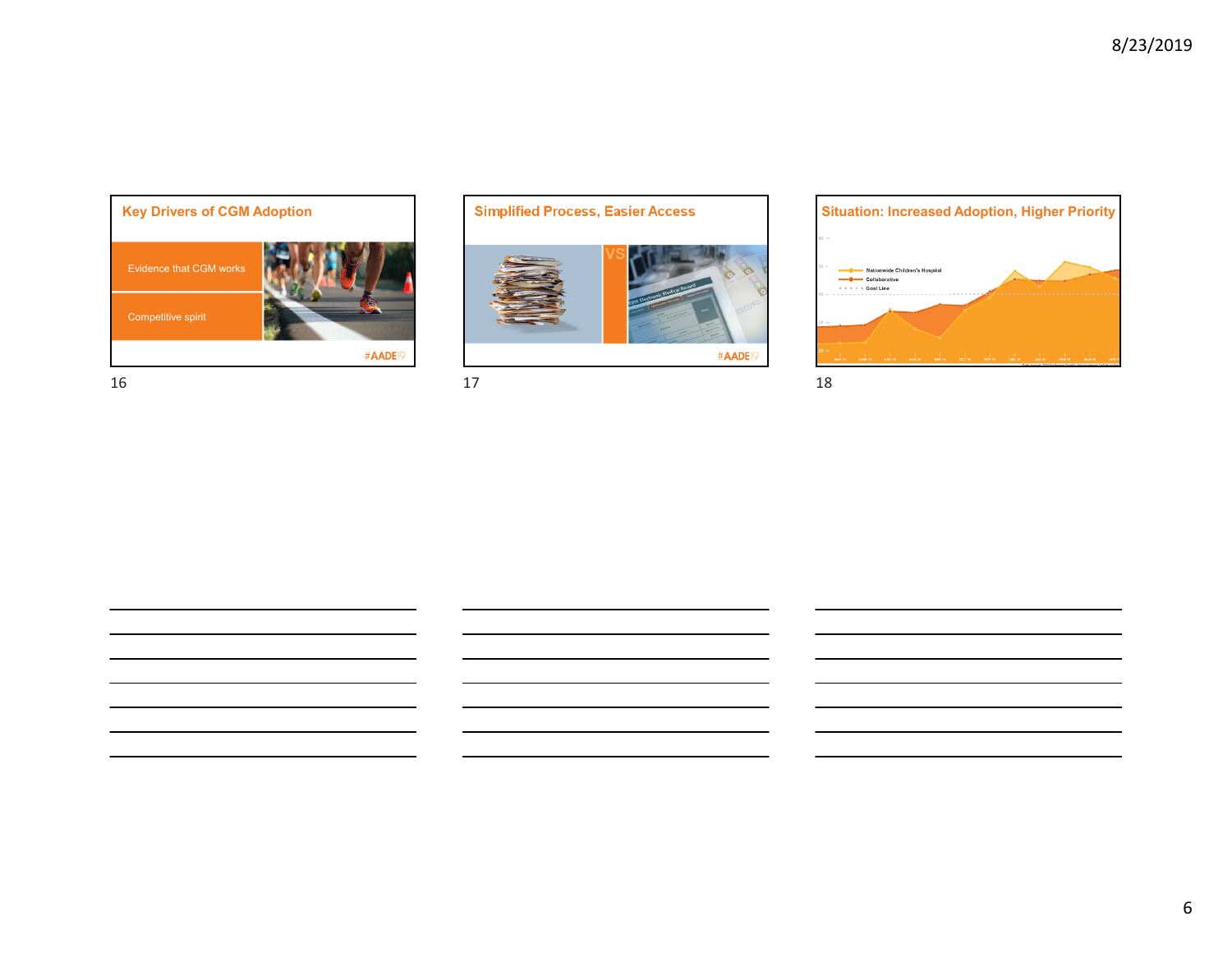



 $16$  and  $17$  and  $18$ 

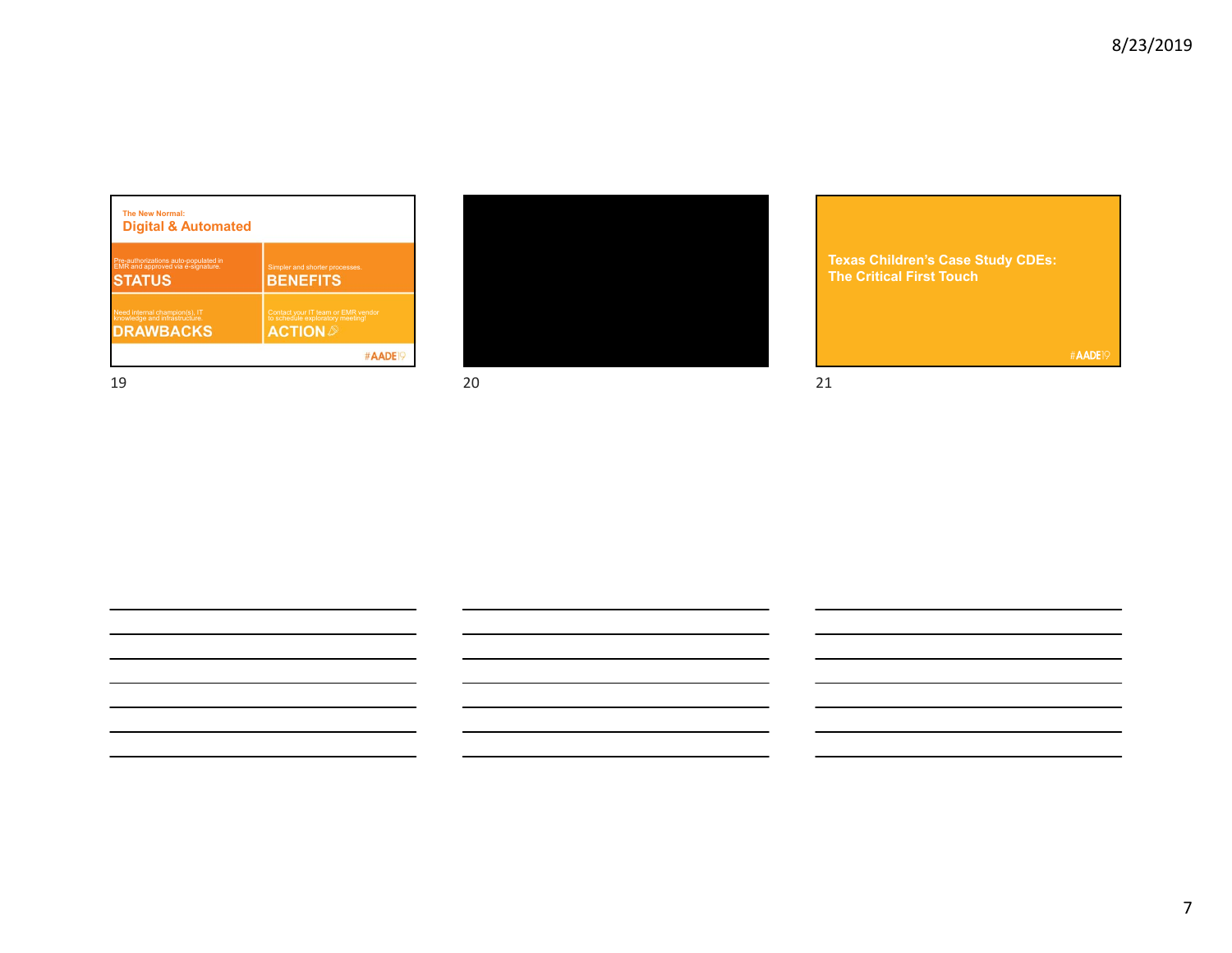| <b>The New Normal:</b><br><b>Digital &amp; Automated</b>                  |                                                                        |
|---------------------------------------------------------------------------|------------------------------------------------------------------------|
| Pre-authorizations auto-populated in<br>EMR and approved via e-signature. | Simpler and shorter processes.                                         |
| <b>STATUS</b>                                                             | <b>BENEFITS</b>                                                        |
| Need internal champion(s), IT<br>knowledge and infrastructure.            | Contact your IT team or EMR vendor<br>to schedule exploratory meeting! |
| <b>DRAWBACKS</b>                                                          | <b>ACTION</b>                                                          |
|                                                                           | #AADE <sub>IS</sub>                                                    |



19 20 21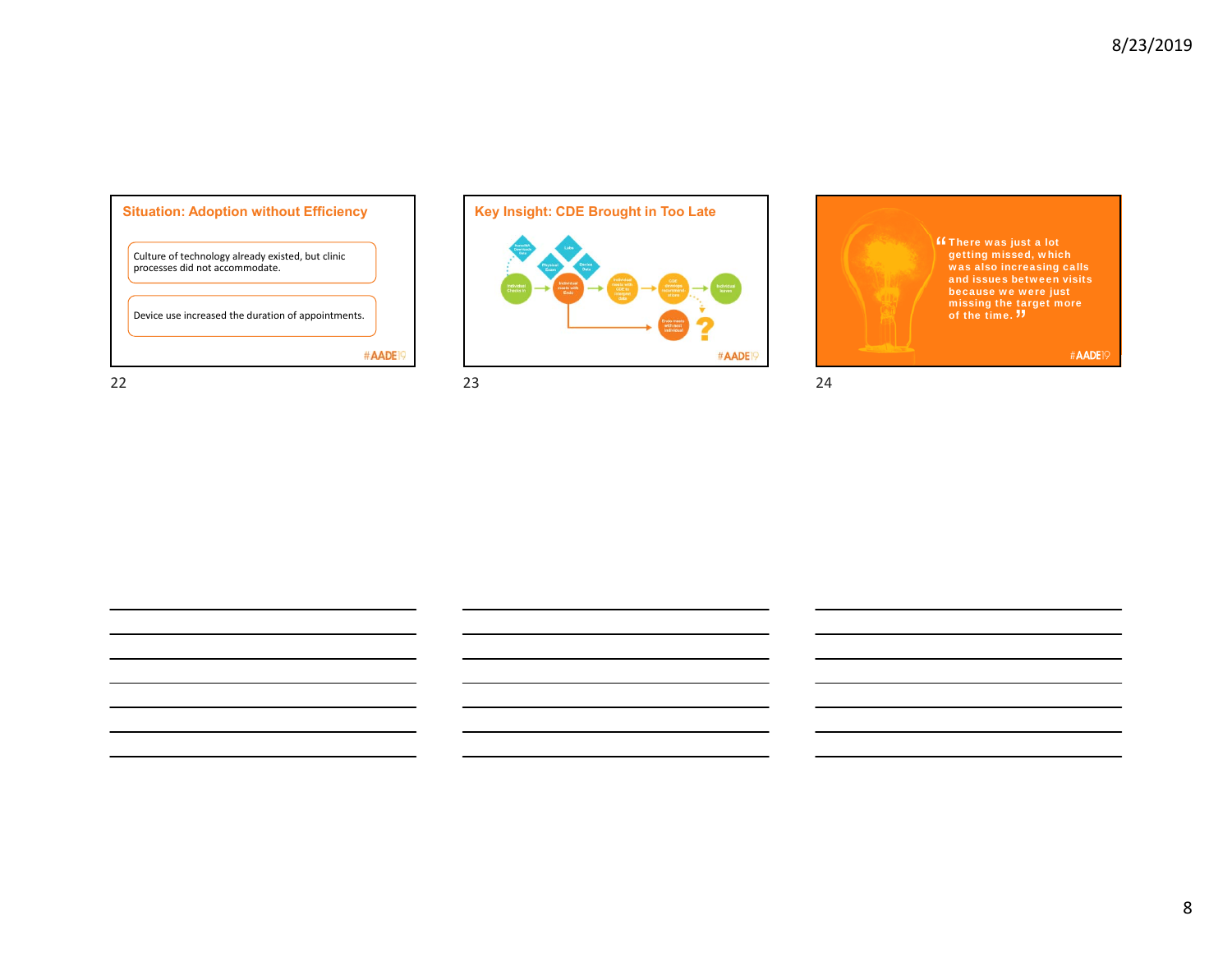8





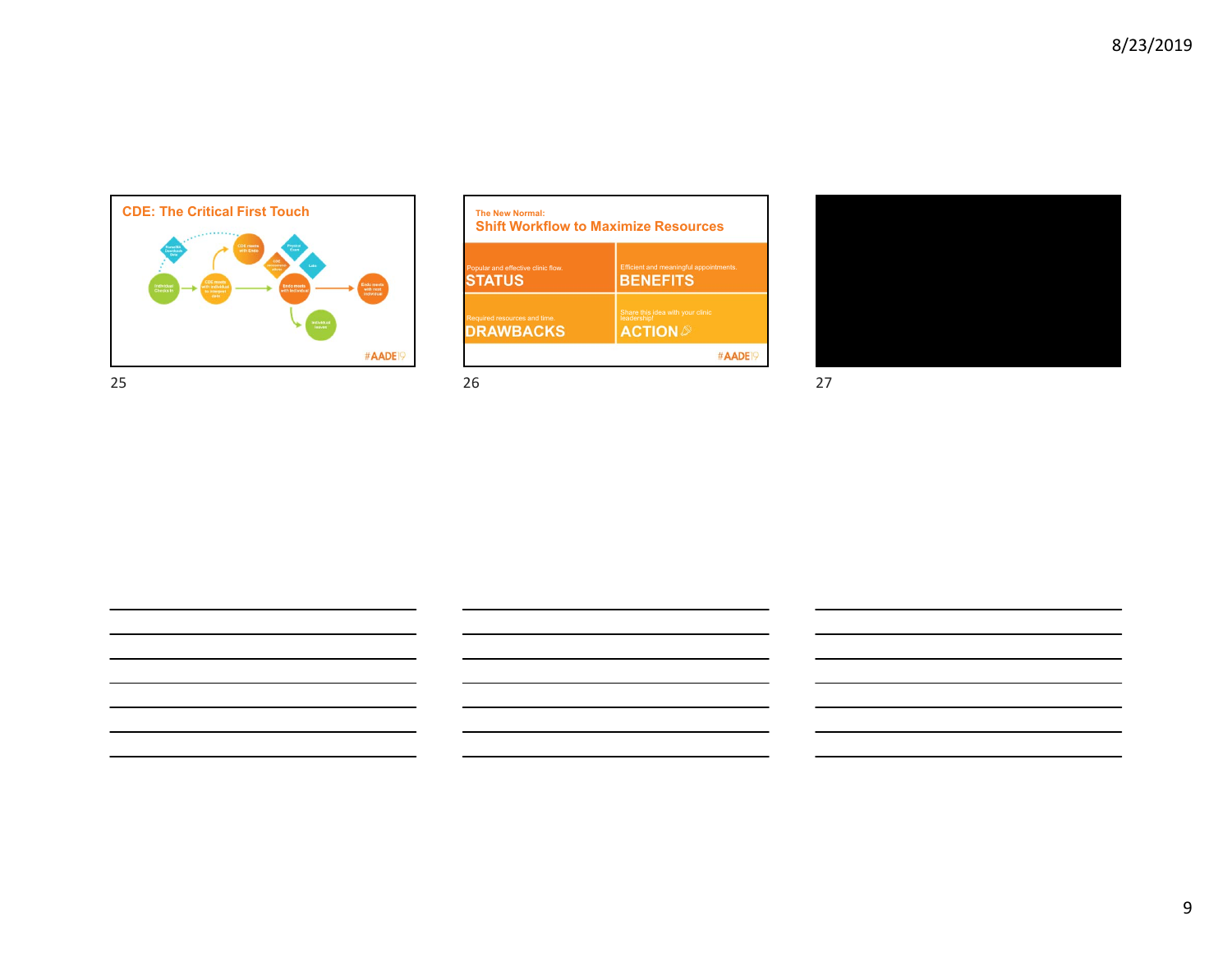

| <b>Shift Workflow to Maximize Resources</b> |                                                 |  |
|---------------------------------------------|-------------------------------------------------|--|
| Popular and effective clinic flow.          | Efficient and meaningful appointments.          |  |
| STATUS                                      | <b>BENEFITS</b>                                 |  |
| Required resources and time.                | Share this idea with your clinic<br>leadership! |  |
| <b>DRAWBACKS</b>                            | <b>ACTION</b>                                   |  |

25 26 27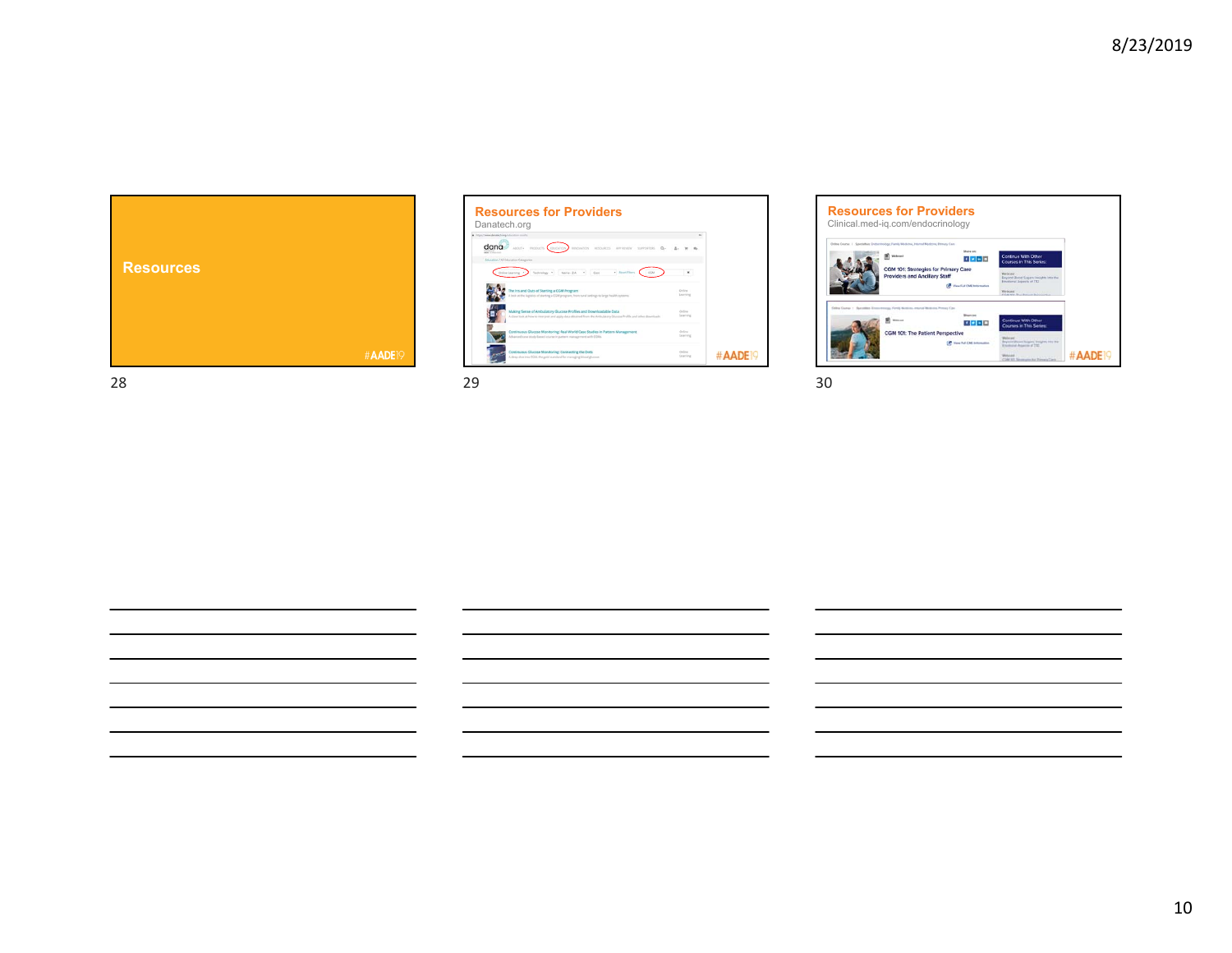

| China Cheese danges fugeals furniture results |                                                                                                                                                                                          |                     |         |
|-----------------------------------------------|------------------------------------------------------------------------------------------------------------------------------------------------------------------------------------------|---------------------|---------|
| dana<br>and in the                            | ABOUT+<br><b>PRODUCTS EDUCATION</b><br><b><i><i><u>REGIVATION</u></i></i></b><br>RESOURCES APPROVEM SUPPORTERS                                                                           |                     |         |
|                                               | Education / All Education Categories                                                                                                                                                     |                     |         |
|                                               | Technisian: *<br>Name - Z-A +<br>Cost<br>. Bout Elers<br>Online Learning<br>COM                                                                                                          |                     |         |
|                                               | The Ins and Outs of Starting a CGM Program<br>look at the logistics of starting a CGM program, from rural settings to large health systems.                                              | Deliver<br>Learning |         |
|                                               | Making Sense of Ambulatory Glucose Profiles and Downloadable Data<br>A close look at how to interpret and apply data obtained from the Artistiziany Glutone Profile and other downloads. | Ordina<br>Learning  |         |
|                                               | Continuous Glucose Monitoring: Real World Case Studies in Pattern Management<br>Advanced curse study-based course in pattern management with CGMs.                                       | Online<br>Learning  |         |
|                                               | Continuous Glucose Monitoring: Connecting the Dots<br>A direct due into CGM, the pold standard for managing blood glucope.                                                               | Osling<br>Learning  | #AADEI9 |